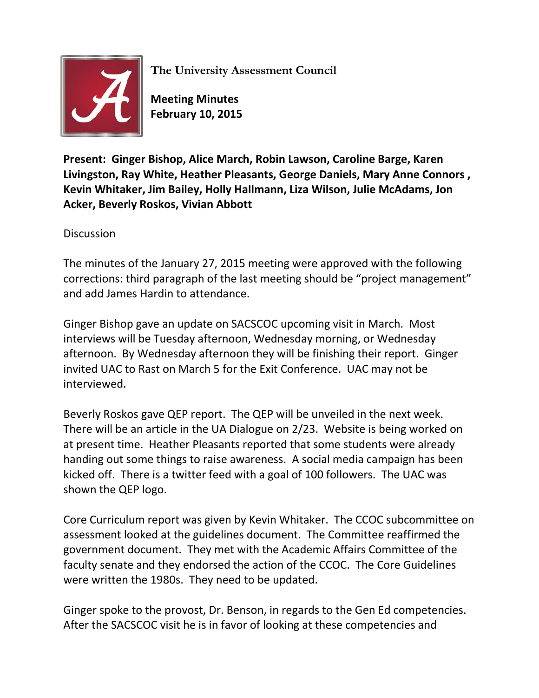

**The University Assessment Council**

**Meeting Minutes February 10, 2015**

**Present: Ginger Bishop, Alice March, Robin Lawson, Caroline Barge, Karen Livingston, Ray White, Heather Pleasants, George Daniels, Mary Anne Connors , Kevin Whitaker, Jim Bailey, Holly Hallmann, Liza Wilson, Julie McAdams, Jon Acker, Beverly Roskos, Vivian Abbott**

**Discussion** 

The minutes of the January 27, 2015 meeting were approved with the following corrections: third paragraph of the last meeting should be "project management" and add James Hardin to attendance.

Ginger Bishop gave an update on SACSCOC upcoming visit in March. Most interviews will be Tuesday afternoon, Wednesday morning, or Wednesday afternoon. By Wednesday afternoon they will be finishing their report. Ginger invited UAC to Rast on March 5 for the Exit Conference. UAC may not be interviewed.

Beverly Roskos gave QEP report. The QEP will be unveiled in the next week. There will be an article in the UA Dialogue on 2/23. Website is being worked on at present time. Heather Pleasants reported that some students were already handing out some things to raise awareness. A social media campaign has been kicked off. There is a twitter feed with a goal of 100 followers. The UAC was shown the QEP logo.

Core Curriculum report was given by Kevin Whitaker. The CCOC subcommittee on assessment looked at the guidelines document. The Committee reaffirmed the government document. They met with the Academic Affairs Committee of the faculty senate and they endorsed the action of the CCOC. The Core Guidelines were written the 1980s. They need to be updated.

Ginger spoke to the provost, Dr. Benson, in regards to the Gen Ed competencies. After the SACSCOC visit he is in favor of looking at these competencies and